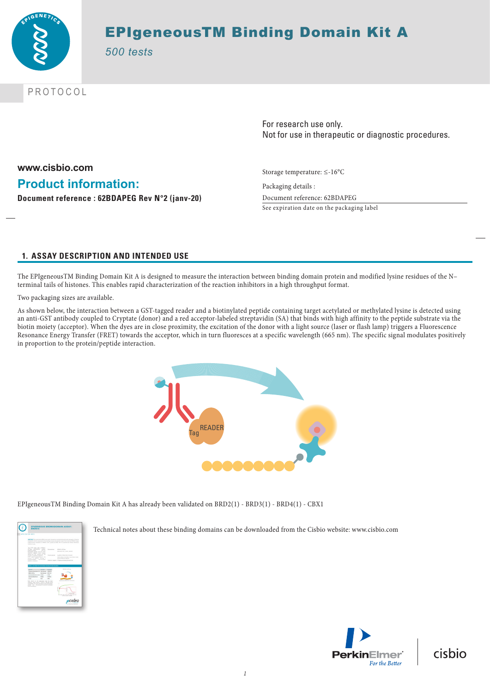

# EPIgeneousTM Binding Domain Kit A

*500 tests*

PROTOCOL

For research use only. Not for use in therapeutic or diagnostic procedures.

**www.cisbio.com Product information: Document reference : 62BDAPEG Rev N°2 (janv-20)**

Storage temperature: ≤-16°C

Packaging details : Document reference: 62BDAPEG

See expiration date on the packaging label

# **1. ASSAY DESCRIPTION AND INTENDED USE**

The EPIgeneousTM Binding Domain Kit A is designed to measure the interaction between binding domain protein and modified lysine residues of the N– terminal tails of histones. This enables rapid characterization of the reaction inhibitors in a high throughput format.

Two packaging sizes are available.

As shown below, the interaction between a GST-tagged reader and a biotinylated peptide containing target acetylated or methylated lysine is detected using an anti-GST antibody coupled to Cryptate (donor) and a red acceptor-labeled streptavidin (SA) that binds with high affinity to the peptide substrate via the biotin moiety (acceptor). When the dyes are in close proximity, the excitation of the donor with a light source (laser or flash lamp) triggers a Fluorescence Resonance Energy Transfer (FRET) towards the acceptor, which in turn fluoresces at a specific wavelength (665 nm). The specific signal modulates positively in proportion to the protein/peptide interaction.



EPIgeneousTM Binding Domain Kit A has already been validated on BRD2(1) - BRD3(1) - BRD4(1) - CBX1



Technical notes about these binding domains can be downloaded from the Cisbio website: www.cisbio.com

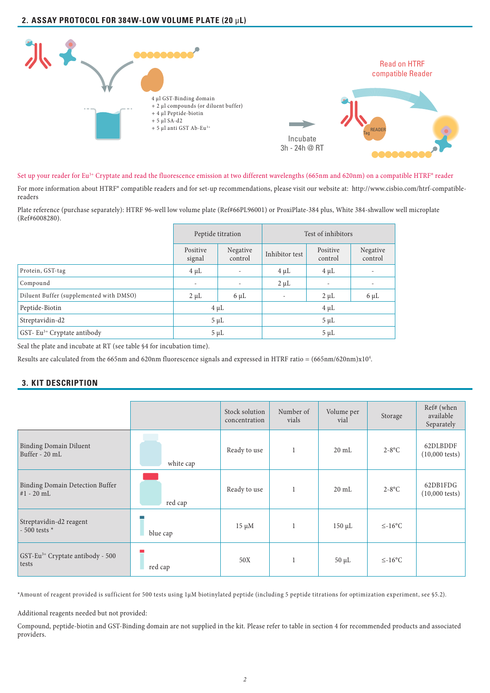# **2. ASSAY PROTOCOL FOR 384W-LOW VOLUME PLATE (20** µ**L)**



Set up your reader for Eu<sup>3+</sup> Cryptate and read the fluorescence emission at two different wavelengths (665nm and 620nm) on a compatible HTRF® reader

For more information about HTRF® compatible readers and for set-up recommendations, please visit our website at: http://www.cisbio.com/htrf-compatiblereaders

Plate reference (purchase separately): HTRF 96-well low volume plate (Ref#66PL96001) or ProxiPlate-384 plus, White 384-shwallow well microplate (Ref#6008280).

|                                         |                    | Peptide titration   | Test of inhibitors       |                          |                          |  |
|-----------------------------------------|--------------------|---------------------|--------------------------|--------------------------|--------------------------|--|
|                                         | Positive<br>signal | Negative<br>control | Inhibitor test           | Positive<br>control      | Negative<br>control      |  |
| Protein, GST-tag                        | $4 \mu L$          |                     | $4 \mu L$                | $4 \mu L$                | $\overline{\phantom{a}}$ |  |
| Compound                                | ٠                  |                     | $2 \mu L$                | $\overline{\phantom{a}}$ | $\overline{\phantom{a}}$ |  |
| Diluent Buffer (supplemented with DMSO) | $2 \mu L$          | $6 \mu L$           | $\overline{\phantom{a}}$ | $2 \mu L$                | $6 \mu L$                |  |
| Peptide-Biotin                          | $4 \mu L$          |                     | $4 \mu L$                |                          |                          |  |
| Streptavidin-d2                         | $5 \mu L$          |                     | $5 \mu L$                |                          |                          |  |
| GST-Eu <sup>3+</sup> Cryptate antibody  | $5 \mu L$          |                     | $5 \mu L$                |                          |                          |  |

Seal the plate and incubate at RT (see table §4 for incubation time).

Results are calculated from the 665nm and 620nm fluorescence signals and expressed in HTRF ratio = (665nm/620nm)x10<sup>4</sup>.

# **3. KIT DESCRIPTION**

|                                                       |           | Stock solution<br>concentration | Number of<br>vials | Volume per<br>vial | Storage      | Ref# (when<br>available<br>Separately |
|-------------------------------------------------------|-----------|---------------------------------|--------------------|--------------------|--------------|---------------------------------------|
| <b>Binding Domain Diluent</b><br>Buffer - 20 mL       | white cap | Ready to use                    |                    | $20 \text{ mL}$    | $2-8$ °C     | 62DLBDDF<br>$(10,000 \text{ tests})$  |
| Binding Domain Detection Buffer<br>$#1 - 20$ mL       | red cap   | Ready to use                    | 1                  | $20 \text{ mL}$    | $2-8$ °C     | 62DB1FDG<br>$(10,000 \text{ tests})$  |
| Streptavidin-d2 reagent<br>$-500$ tests $*$           | blue cap  | $15 \mu M$                      |                    | $150 \mu L$        | $\leq$ -16°C |                                       |
| GST-Eu <sup>3+</sup> Cryptate antibody - 500<br>tests | red cap   | 50X                             | 1                  | $50 \mu L$         | $\leq$ -16°C |                                       |

\*Amount of reagent provided is sufficient for 500 tests using 1µM biotinylated peptide (including 5 peptide titrations for optimization experiment, see §5.2).

Additional reagents needed but not provided:

Compound, peptide-biotin and GST-Binding domain are not supplied in the kit. Please refer to table in section 4 for recommended products and associated providers.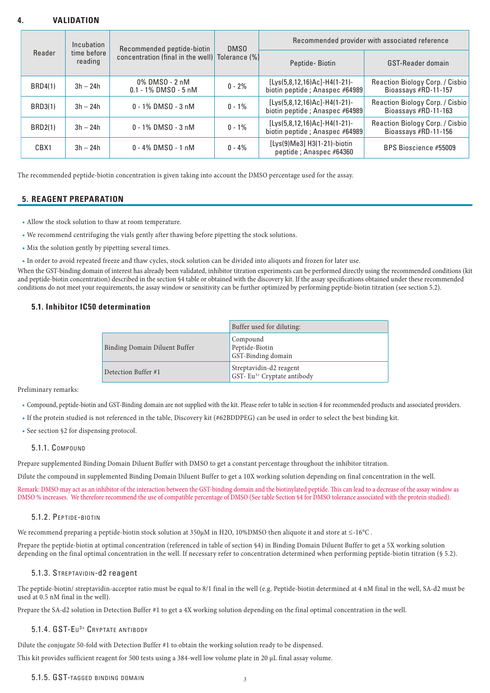## **4. VALIDATION**

|                | Incubation<br>Recommended peptide-biotin<br>DMS <sub>0</sub><br>time before<br>concentration (final in the well) Tolerance (%)<br>reading |                                           |                   | Recommended provider with associated reference                   |                                                         |  |
|----------------|-------------------------------------------------------------------------------------------------------------------------------------------|-------------------------------------------|-------------------|------------------------------------------------------------------|---------------------------------------------------------|--|
| Reader         |                                                                                                                                           | Peptide-Biotin                            | GST-Reader domain |                                                                  |                                                         |  |
| <b>BRD4(1)</b> | $3h - 24h$                                                                                                                                | 0% DMS0 - 2 nM<br>$0.1 - 1\%$ DMSO - 5 nM | $0 - 2%$          | [Lys(5,8,12,16)Ac]-H4(1-21)-<br>biotin peptide; Anaspec #64989   | Reaction Biology Corp. / Cisbio<br>Bioassays #RD-11-157 |  |
| <b>BRD3(1)</b> | $3h - 24h$                                                                                                                                | $0 - 1\%$ DMS $0 - 3$ nM                  | $0 - 1\%$         | $[Lys(5,8,12,16)Ac]-H4(1-21)-$<br>biotin peptide; Anaspec #64989 | Reaction Biology Corp. / Cisbio<br>Bioassays #RD-11-163 |  |
| <b>BRD2(1)</b> | $3h - 24h$                                                                                                                                | $0 - 1\%$ DMS $0 - 3$ nM                  | $0 - 1\%$         | $[Lys(5,8,12,16)Ac]-H4(1-21)-$<br>biotin peptide; Anaspec #64989 | Reaction Biology Corp. / Cisbio<br>Bioassays #RD-11-156 |  |
| CBX1           | $3h - 24h$                                                                                                                                | $0 - 4\%$ DMS $0 - 1$ nM                  | $0 - 4\%$         | [Lys(9)Me3] H3(1-21)-biotin<br>peptide; Anaspec #64360           | BPS Bioscience #55009                                   |  |

The recommended peptide-biotin concentration is given taking into account the DMSO percentage used for the assay.

### **5. REAGENT PREPARATION**

- Allow the stock solution to thaw at room temperature.
- We recommend centrifuging the vials gently after thawing before pipetting the stock solutions.
- Mix the solution gently by pipetting several times.
- In order to avoid repeated freeze and thaw cycles, stock solution can be divided into aliquots and frozen for later use.

When the GST-binding domain of interest has already been validated, inhibitor titration experiments can be performed directly using the recommended conditions (kit and peptide-biotin concentration) described in the section §4 table or obtained with the discovery kit. If the assay specifications obtained under these recommended conditions do not meet your requirements, the assay window or sensitivity can be further optimized by performing peptide-biotin titration (see section 5.2).

### **5.1. Inhibitor IC50 determination**

|                               | Buffer used for diluting:                                          |
|-------------------------------|--------------------------------------------------------------------|
| Binding Domain Diluent Buffer | Compound<br>Peptide-Biotin<br>GST-Binding domain                   |
| Detection Buffer #1           | Streptavidin-d2 reagent<br>GST- Eu <sup>3+</sup> Cryptate antibody |

Preliminary remarks:

- Compound, peptide-biotin and GST-Binding domain are not supplied with the kit. Please refer to table in section 4 for recommended products and associated providers.
- If the protein studied is not referenced in the table, Discovery kit (#62BDDPEG) can be used in order to select the best binding kit.
- See section §2 for dispensing protocol.

#### 5.1.1. Compound

Prepare supplemented Binding Domain Diluent Buffer with DMSO to get a constant percentage throughout the inhibitor titration.

Dilute the compound in supplemented Binding Domain Diluent Buffer to get a 10X working solution depending on final concentration in the well.

Remark: DMSO may act as an inhibitor of the interaction between the GST-binding domain and the biotinylated peptide. This can lead to a decrease of the assay window as DMSO % increases. We therefore recommend the use of compatible percentage of DMSO (See table Section §4 for DMSO tolerance associated with the protein studied).

#### 5.1.2. Peptide-biotin

We recommend preparing a peptide-biotin stock solution at 350µM in H2O, 10%DMSO then aliquote it and store at ≤-16°C.

Prepare the peptide-biotin at optimal concentration (referenced in table of section §4) in Binding Domain Diluent Buffer to get a 5X working solution depending on the final optimal concentration in the well. If necessary refer to concentration determined when performing peptide-biotin titration (§ 5.2).

#### 5.1.3. Streptavidin-d2 reagent

The peptide-biotin/ streptavidin-acceptor ratio must be equal to 8/1 final in the well (e.g. Peptide-biotin determined at 4 nM final in the well, SA-d2 must be used at 0.5 nM final in the well).

Prepare the SA-d2 solution in Detection Buffer #1 to get a 4X working solution depending on the final optimal concentration in the well.

### 5.1.4. GST-Eu<sup>3+</sup> CRYPTATE ANTIBODY

Dilute the conjugate 50-fold with Detection Buffer #1 to obtain the working solution ready to be dispensed.

This kit provides sufficient reagent for 500 tests using a 384-well low volume plate in 20 μL final assay volume.

#### 5.1.5. GST-tagged binding domain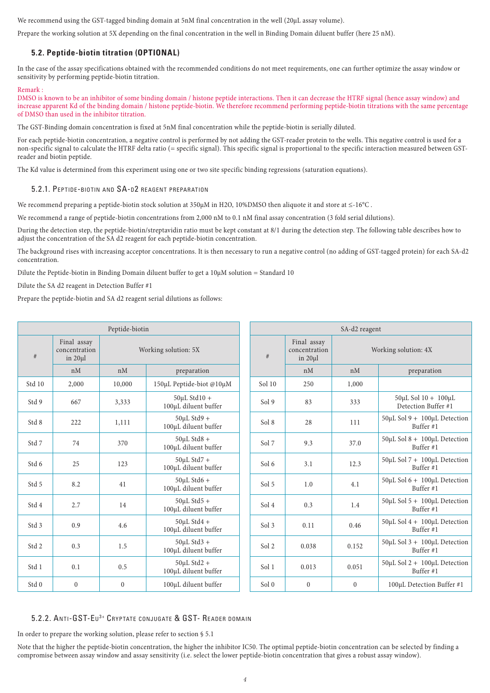We recommend using the GST-tagged binding domain at 5nM final concentration in the well (20µL assay volume).

Prepare the working solution at 5X depending on the final concentration in the well in Binding Domain diluent buffer (here 25 nM).

### **5.2. Peptide-biotin titration (OPTIONAL)**

In the case of the assay specifications obtained with the recommended conditions do not meet requirements, one can further optimize the assay window or sensitivity by performing peptide-biotin titration.

Remark :

DMSO is known to be an inhibitor of some binding domain / histone peptide interactions. Then it can decrease the HTRF signal (hence assay window) and increase apparent Kd of the binding domain / histone peptide-biotin. We therefore recommend performing peptide-biotin titrations with the same percentage of DMSO than used in the inhibitor titration.

The GST-Binding domain concentration is fixed at 5nM final concentration while the peptide-biotin is serially diluted.

For each peptide-biotin concentration, a negative control is performed by not adding the GST-reader protein to the wells. This negative control is used for a non-specific signal to calculate the HTRF delta ratio (= specific signal). This specific signal is proportional to the specific interaction measured between GSTreader and biotin peptide.

The Kd value is determined from this experiment using one or two site specific binding regressions (saturation equations).

#### 5.2.1. PEPTIDE-BIOTIN AND SA-D2 REAGENT PREPARATION

We recommend preparing a peptide-biotin stock solution at 350µM in H2O, 10%DMSO then aliquote it and store at ≤-16°C .

We recommend a range of peptide-biotin concentrations from 2,000 nM to 0.1 nM final assay concentration (3 fold serial dilutions).

During the detection step, the peptide-biotin/streptavidin ratio must be kept constant at 8/1 during the detection step. The following table describes how to adjust the concentration of the SA d2 reagent for each peptide-biotin concentration.

The background rises with increasing acceptor concentrations. It is then necessary to run a negative control (no adding of GST-tagged protein) for each SA-d2 concentration.

Dilute the Peptide-biotin in Binding Domain diluent buffer to get a 10µM solution = Standard 10

Dilute the SA d2 reagent in Detection Buffer #1

Prepare the peptide-biotin and SA d2 reagent serial dilutions as follows:

| Peptide-biotin |                                         | SA-d2 reagent        |                                            |                  |                                         |                      |                                                        |
|----------------|-----------------------------------------|----------------------|--------------------------------------------|------------------|-----------------------------------------|----------------------|--------------------------------------------------------|
| $\#$           | Final assay<br>concentration<br>in 20µl | Working solution: 5X |                                            | $\#$             | Final assay<br>concentration<br>in 20µl | Working solution: 4X |                                                        |
|                | nM                                      | nM                   | preparation                                |                  | nM                                      | nM                   | preparation                                            |
| Std 10         | 2,000                                   | 10,000               | 150µL Peptide-biot @10µM                   | Sol 10           | 250                                     | 1,000                |                                                        |
| Std 9          | 667                                     | 3,333                | $50 \mu L$ Std10 +<br>100µL diluent buffer | Sol9             | 83                                      | 333                  | $50 \mu L$ Sol $10 + 100 \mu L$<br>Detection Buffer #1 |
| Std 8          | 222                                     | 1,111                | $50 \mu L$ Std9 +<br>100µL diluent buffer  | Sol 8            | 28                                      | 111                  | 50µL Sol 9 + 100µL Detection<br>Buffer $#1$            |
| Std 7          | 74                                      | 370                  | $50 \mu L$ Std8 +<br>100µL diluent buffer  | Sol 7            | 9.3                                     | 37.0                 | 50µL Sol 8 + 100µL Detection<br>Buffer #1              |
| Std 6          | 25                                      | 123                  | $50 \mu L$ Std7 +<br>100µL diluent buffer  | Sol 6            | 3.1                                     | 12.3                 | 50µL Sol 7 + 100µL Detection<br>Buffer $#1$            |
| Std 5          | 8.2                                     | 41                   | $50 \mu L$ Std6 +<br>100µL diluent buffer  | Sol 5            | 1.0                                     | 4.1                  | $50 \mu L$ Sol 6 + 100 $\mu$ L Detection<br>Buffer #1  |
| Std 4          | 2.7                                     | 14                   | $50 \mu L$ Std5 +<br>100µL diluent buffer  | Sol 4            | 0.3                                     | 1.4                  | 50µL Sol 5 + 100µL Detection<br>Buffer $#1$            |
| Std 3          | 0.9                                     | 4.6                  | $50 \mu L$ Std4 +<br>100µL diluent buffer  | Sol <sub>3</sub> | 0.11                                    | 0.46                 | $50 \mu L$ Sol 4 + 100 $\mu$ L Detection<br>Buffer #1  |
| Std 2          | 0.3                                     | 1.5                  | $50 \mu L$ Std3 +<br>100µL diluent buffer  | Sol 2            | 0.038                                   | 0.152                | $50 \mu L$ Sol 3 + 100 $\mu$ L Detection<br>Buffer #1  |
| Std 1          | 0.1                                     | 0.5                  | $50 \mu L$ Std2 +<br>100µL diluent buffer  | Sol 1            | 0.013                                   | 0.051                | 50µL Sol 2 + 100µL Detection<br>Buffer $#1$            |
| Std 0          | $\mathbf{0}$                            | $\boldsymbol{0}$     | 100µL diluent buffer                       | Sol <sub>0</sub> | $\mathbf{0}$                            | $\mathbf{0}$         | 100µL Detection Buffer #1                              |

## 5.2.2. Anti-GST-Eu<sup>3+</sup> Cryptate conjugate & GST- Reader domain

In order to prepare the working solution, please refer to section  $\S$  5.1

Note that the higher the peptide-biotin concentration, the higher the inhibitor IC50. The optimal peptide-biotin concentration can be selected by finding a compromise between assay window and assay sensitivity (i.e. select the lower peptide-biotin concentration that gives a robust assay window).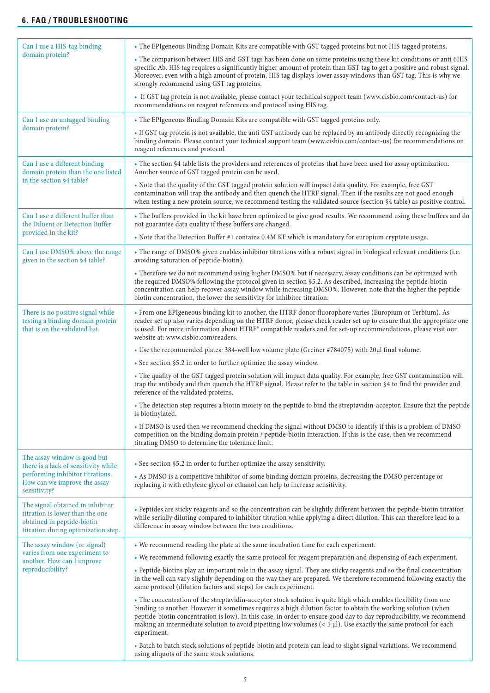| Can I use a HIS-tag binding                                                                                                              | . The EPIgeneous Binding Domain Kits are compatible with GST tagged proteins but not HIS tagged proteins.                                                                                                                                                                                                                                                                                                                                                                                       |  |  |  |  |  |
|------------------------------------------------------------------------------------------------------------------------------------------|-------------------------------------------------------------------------------------------------------------------------------------------------------------------------------------------------------------------------------------------------------------------------------------------------------------------------------------------------------------------------------------------------------------------------------------------------------------------------------------------------|--|--|--|--|--|
| domain protein?                                                                                                                          | . The comparison between HIS and GST tags has been done on some proteins using these kit conditions or anti 6HIS<br>specific Ab. HIS tag requires a significantly higher amount of protein than GST tag to get a positive and robust signal.<br>Moreover, even with a high amount of protein, HIS tag displays lower assay windows than GST tag. This is why we<br>strongly recommend using GST tag proteins.                                                                                   |  |  |  |  |  |
|                                                                                                                                          | • If GST tag protein is not available, please contact your technical support team (www.cisbio.com/contact-us) for<br>recommendations on reagent references and protocol using HIS tag.                                                                                                                                                                                                                                                                                                          |  |  |  |  |  |
| Can I use an untagged binding                                                                                                            | • The EPIgeneous Binding Domain Kits are compatible with GST tagged proteins only.                                                                                                                                                                                                                                                                                                                                                                                                              |  |  |  |  |  |
| domain protein?                                                                                                                          | • If GST tag protein is not available, the anti GST antibody can be replaced by an antibody directly recognizing the<br>binding domain. Please contact your technical support team (www.cisbio.com/contact-us) for recommendations on<br>reagent references and protocol.                                                                                                                                                                                                                       |  |  |  |  |  |
| Can I use a different binding<br>domain protein than the one listed                                                                      | • The section §4 table lists the providers and references of proteins that have been used for assay optimization.<br>Another source of GST tagged protein can be used.                                                                                                                                                                                                                                                                                                                          |  |  |  |  |  |
| in the section §4 table?                                                                                                                 | . Note that the quality of the GST tagged protein solution will impact data quality. For example, free GST<br>contamination will trap the antibody and then quench the HTRF signal. Then if the results are not good enough<br>when testing a new protein source, we recommend testing the validated source (section §4 table) as positive control.                                                                                                                                             |  |  |  |  |  |
| Can I use a different buffer than<br>the Diluent or Detection Buffer                                                                     | • The buffers provided in the kit have been optimized to give good results. We recommend using these buffers and do<br>not guarantee data quality if these buffers are changed.                                                                                                                                                                                                                                                                                                                 |  |  |  |  |  |
| provided in the kit?                                                                                                                     | • Note that the Detection Buffer #1 contains 0.4M KF which is mandatory for europium cryptate usage.                                                                                                                                                                                                                                                                                                                                                                                            |  |  |  |  |  |
| Can I use DMSO% above the range<br>given in the section §4 table?                                                                        | . The range of DMSO% given enables inhibitor titrations with a robust signal in biological relevant conditions (i.e.<br>avoiding saturation of peptide-biotin).                                                                                                                                                                                                                                                                                                                                 |  |  |  |  |  |
|                                                                                                                                          | • Therefore we do not recommend using higher DMSO% but if necessary, assay conditions can be optimized with<br>the required DMSO% following the protocol given in section §5.2. As described, increasing the peptide-biotin<br>concentration can help recover assay window while increasing DMSO%. However, note that the higher the peptide-<br>biotin concentration, the lower the sensitivity for inhibitor titration.                                                                       |  |  |  |  |  |
| There is no positive signal while<br>testing a binding domain protein<br>that is on the validated list.                                  | • From one EPIgeneous binding kit to another, the HTRF donor fluorophore varies (Europium or Terbium). As<br>reader set up also varies depending on the HTRF donor, please check reader set up to ensure that the appropriate one<br>is used. For more information about HTRF® compatible readers and for set-up recommendations, please visit our<br>website at: www.cisbio.com/readers.                                                                                                       |  |  |  |  |  |
|                                                                                                                                          | • Use the recommended plates: 384-well low volume plate (Greiner #784075) with 20µl final volume.                                                                                                                                                                                                                                                                                                                                                                                               |  |  |  |  |  |
|                                                                                                                                          | • See section §5.2 in order to further optimize the assay window.                                                                                                                                                                                                                                                                                                                                                                                                                               |  |  |  |  |  |
|                                                                                                                                          | • The quality of the GST tagged protein solution will impact data quality. For example, free GST contamination will<br>trap the antibody and then quench the HTRF signal. Please refer to the table in section §4 to find the provider and<br>reference of the validated proteins.                                                                                                                                                                                                              |  |  |  |  |  |
|                                                                                                                                          | • The detection step requires a biotin moiety on the peptide to bind the streptavidin-acceptor. Ensure that the peptide<br>is biotinylated.                                                                                                                                                                                                                                                                                                                                                     |  |  |  |  |  |
|                                                                                                                                          | . If DMSO is used then we recommend checking the signal without DMSO to identify if this is a problem of DMSO<br>competition on the binding domain protein / peptide-biotin interaction. If this is the case, then we recommend<br>titrating DMSO to determine the tolerance limit.                                                                                                                                                                                                             |  |  |  |  |  |
| The assay window is good but                                                                                                             | • See section §5.2 in order to further optimize the assay sensitivity.                                                                                                                                                                                                                                                                                                                                                                                                                          |  |  |  |  |  |
| there is a lack of sensitivity while<br>performing inhibitor titrations.<br>How can we improve the assay<br>sensitivity?                 | • As DMSO is a competitive inhibitor of some binding domain proteins, decreasing the DMSO percentage or<br>replacing it with ethylene glycol or ethanol can help to increase sensitivity.                                                                                                                                                                                                                                                                                                       |  |  |  |  |  |
| The signal obtained in inhibitor<br>titration is lower than the one<br>obtained in peptide-biotin<br>titration during optimization step. | • Peptides are sticky reagents and so the concentration can be slightly different between the peptide-biotin titration<br>while serially diluting compared to inhibitor titration while applying a direct dilution. This can therefore lead to a<br>difference in assay window between the two conditions.                                                                                                                                                                                      |  |  |  |  |  |
| The assay window (or signal)                                                                                                             | • We recommend reading the plate at the same incubation time for each experiment.                                                                                                                                                                                                                                                                                                                                                                                                               |  |  |  |  |  |
| varies from one experiment to<br>another. How can I improve                                                                              | • We recommend following exactly the same protocol for reagent preparation and dispensing of each experiment.                                                                                                                                                                                                                                                                                                                                                                                   |  |  |  |  |  |
| reproducibility?                                                                                                                         | . Peptide-biotins play an important role in the assay signal. They are sticky reagents and so the final concentration<br>in the well can vary slightly depending on the way they are prepared. We therefore recommend following exactly the<br>same protocol (dilution factors and steps) for each experiment.                                                                                                                                                                                  |  |  |  |  |  |
|                                                                                                                                          | • The concentration of the streptavidin-acceptor stock solution is quite high which enables flexibility from one<br>binding to another. However it sometimes requires a high dilution factor to obtain the working solution (when<br>peptide-biotin concentration is low). In this case, in order to ensure good day to day reproducibility, we recommend<br>making an intermediate solution to avoid pipetting low volumes $(< 5 \mu$ ). Use exactly the same protocol for each<br>experiment. |  |  |  |  |  |
|                                                                                                                                          | • Batch to batch stock solutions of peptide-biotin and protein can lead to slight signal variations. We recommend<br>using aliquots of the same stock solutions.                                                                                                                                                                                                                                                                                                                                |  |  |  |  |  |